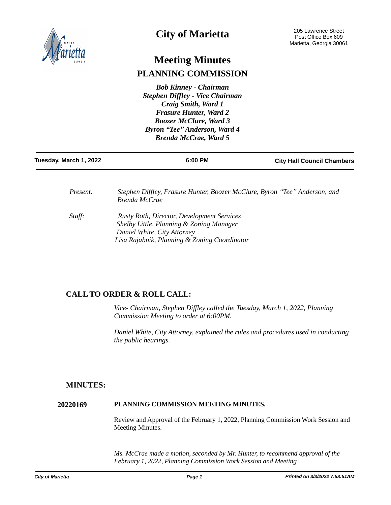

# **City of Marietta**

# **Meeting Minutes PLANNING COMMISSION**

*Bob Kinney - Chairman Stephen Diffley - Vice Chairman Craig Smith, Ward 1 Frasure Hunter, Ward 2 Boozer McClure, Ward 3 Byron "Tee" Anderson, Ward 4 Brenda McCrae, Ward 5*

| Tuesday, March 1, 2022 | 6:00 PM | <b>City Hall Council Chambers</b> |
|------------------------|---------|-----------------------------------|
|                        |         |                                   |

| <i>Present:</i> | Stephen Diffley, Frasure Hunter, Boozer McClure, Byron "Tee" Anderson, and<br>Brenda McCrae                                                                                  |
|-----------------|------------------------------------------------------------------------------------------------------------------------------------------------------------------------------|
| Staff:          | <b>Rusty Roth, Director, Development Services</b><br>Shelby Little, Planning & Zoning Manager<br>Daniel White, City Attorney<br>Lisa Rajabnik, Planning & Zoning Coordinator |

# **CALL TO ORDER & ROLL CALL:**

*Vice- Chairman, Stephen Diffley called the Tuesday, March 1, 2022, Planning Commission Meeting to order at 6:00PM.* 

*Daniel White, City Attorney, explained the rules and procedures used in conducting the public hearings.*

## **MINUTES:**

### **20220169 PLANNING COMMISSION MEETING MINUTES.**

Review and Approval of the February 1, 2022, Planning Commission Work Session and Meeting Minutes.

*Ms. McCrae made a motion, seconded by Mr. Hunter, to recommend approval of the February 1, 2022, Planning Commission Work Session and Meeting*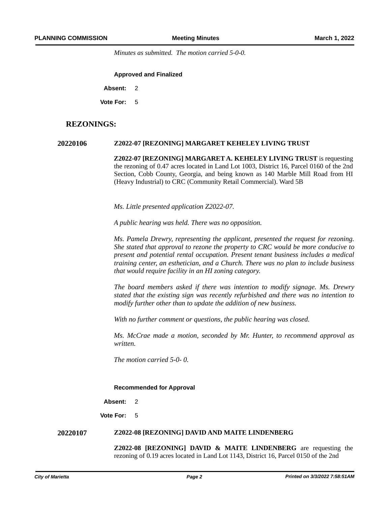*Minutes as submitted. The motion carried 5-0-0.* 

**Approved and Finalized**

**Absent:** 2

**Vote For:** 5

### **REZONINGS:**

#### **20220106 Z2022-07 [REZONING] MARGARET KEHELEY LIVING TRUST**

**Z2022-07 [REZONING] MARGARET A. KEHELEY LIVING TRUST** is requesting the rezoning of 0.47 acres located in Land Lot 1003, District 16, Parcel 0160 of the 2nd Section, Cobb County, Georgia, and being known as 140 Marble Mill Road from HI (Heavy Industrial) to CRC (Community Retail Commercial). Ward 5B

*Ms. Little presented application Z2022-07.* 

*A public hearing was held. There was no opposition.*

*Ms. Pamela Drewry, representing the applicant, presented the request for rezoning. She stated that approval to rezone the property to CRC would be more conducive to present and potential rental occupation. Present tenant business includes a medical training center, an esthetician, and a Church. There was no plan to include business that would require facility in an HI zoning category.* 

*The board members asked if there was intention to modify signage. Ms. Drewry stated that the existing sign was recently refurbished and there was no intention to modify further other than to update the addition of new business.* 

*With no further comment or questions, the public hearing was closed.*

*Ms. McCrae made a motion, seconded by Mr. Hunter, to recommend approval as written.* 

*The motion carried 5-0- 0.*

#### **Recommended for Approval**

**Absent:** 2

**Vote For:** 5

#### **20220107 Z2022-08 [REZONING] DAVID AND MAITE LINDENBERG**

**Z2022-08 [REZONING] DAVID & MAITE LINDENBERG** are requesting the rezoning of 0.19 acres located in Land Lot 1143, District 16, Parcel 0150 of the 2nd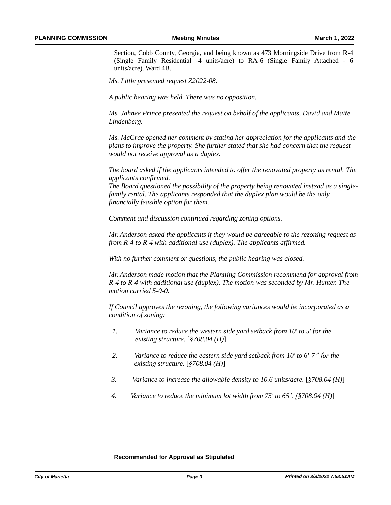Section, Cobb County, Georgia, and being known as 473 Morningside Drive from R-4 (Single Family Residential -4 units/acre) to RA-6 (Single Family Attached - 6 units/acre). Ward 4B.

*Ms. Little presented request Z2022-08.*

*A public hearing was held. There was no opposition.*

*Ms. Jahnee Prince presented the request on behalf of the applicants, David and Maite Lindenberg.* 

*Ms. McCrae opened her comment by stating her appreciation for the applicants and the plans to improve the property. She further stated that she had concern that the request would not receive approval as a duplex.* 

*The board asked if the applicants intended to offer the renovated property as rental. The applicants confirmed.* 

*The Board questioned the possibility of the property being renovated instead as a singlefamily rental. The applicants responded that the duplex plan would be the only financially feasible option for them.* 

*Comment and discussion continued regarding zoning options.*

*Mr. Anderson asked the applicants if they would be agreeable to the rezoning request as from R-4 to R-4 with additional use (duplex). The applicants affirmed.* 

*With no further comment or questions, the public hearing was closed.*

*Mr. Anderson made motion that the Planning Commission recommend for approval from R-4 to R-4 with additional use (duplex). The motion was seconded by Mr. Hunter. The motion carried 5-0-0.* 

*If Council approves the rezoning, the following variances would be incorporated as a condition of zoning:*

- *1. Variance to reduce the western side yard setback from 10' to 5' for the existing structure.* [*§708.04 (H)*]
- *2 2. Variance to reduce the eastern side yard setback from 10' to 6'-7" for the existing structure.* [*§708.04 (H)*]
- *3 3. Variance to increase the allowable density to 10.6 units/acre.* [*§708.04 (H)*]
- *4. 4. Variance to reduce the minimum lot width from 75' to 65'. [§708.04 (H)*]

#### **Recommended for Approval as Stipulated**